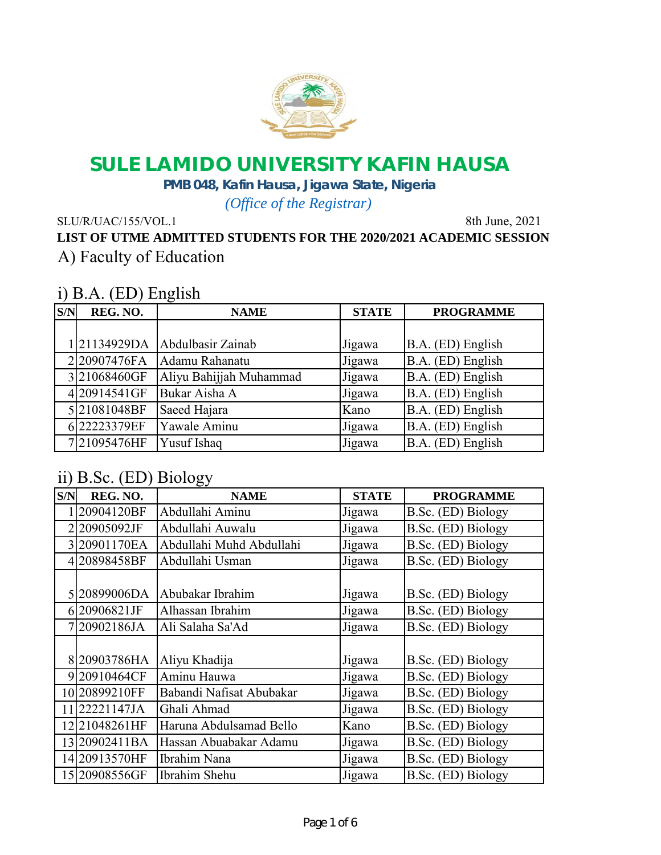

## **SULE LAMIDO UNIVERSITY KAFIN HAUSA**

**PMB 048, Kafin Hausa, Jigawa State, Nigeria**

*(Office of the Registrar)*

SLU/R/UAC/155/VOL.1 8th June, 2021

**LIST OF UTME ADMITTED STUDENTS FOR THE 2020/2021 ACADEMIC SESSION** A) Faculty of Education

### i) B.A. (ED) English

| S/N | REG. NO.    | $\mathbf{\omega}$<br><b>NAME</b> | <b>STATE</b> | <b>PROGRAMME</b>  |
|-----|-------------|----------------------------------|--------------|-------------------|
|     |             |                                  |              |                   |
|     |             | 21134929DA Abdulbasir Zainab     | Jigawa       | B.A. (ED) English |
|     | 220907476FA | Adamu Rahanatu                   | Jigawa       | B.A. (ED) English |
|     | 321068460GF | Aliyu Bahijjah Muhammad          | Jigawa       | B.A. (ED) English |
|     | 420914541GF | Bukar Aisha A                    | Jigawa       | B.A. (ED) English |
|     | 521081048BF | Saeed Hajara                     | Kano         | B.A. (ED) English |
|     | 622223379EF | Yawale Aminu                     | Jigawa       | B.A. (ED) English |
|     | 721095476HF | <b>Yusuf Ishaq</b>               | Jigawa       | B.A. (ED) English |

### ii) B.Sc. (ED) Biology

| S/N | REG. NO.      | <b>NAME</b>              | <b>STATE</b> | <b>PROGRAMME</b>   |
|-----|---------------|--------------------------|--------------|--------------------|
|     | 20904120BF    | Abdullahi Aminu          | Jigawa       | B.Sc. (ED) Biology |
| 2   | 20905092JF    | Abdullahi Auwalu         | Jigawa       | B.Sc. (ED) Biology |
|     | 320901170EA   | Abdullahi Muhd Abdullahi | Jigawa       | B.Sc. (ED) Biology |
| 4   | 20898458BF    | Abdullahi Usman          | Jigawa       | B.Sc. (ED) Biology |
|     |               |                          |              |                    |
|     | 520899006DA   | Abubakar Ibrahim         | Jigawa       | B.Sc. (ED) Biology |
|     | 620906821JF   | Alhassan Ibrahim         | Jigawa       | B.Sc. (ED) Biology |
|     | 20902186JA    | Ali Salaha Sa'Ad         | Jigawa       | B.Sc. (ED) Biology |
|     |               |                          |              |                    |
|     | 820903786HA   | Aliyu Khadija            | Jigawa       | B.Sc. (ED) Biology |
|     | 920910464CF   | Aminu Hauwa              | Jigawa       | B.Sc. (ED) Biology |
|     | 10 20899210FF | Babandi Nafisat Abubakar | Jigawa       | B.Sc. (ED) Biology |
| 11  | 22221147JA    | Ghali Ahmad              | Jigawa       | B.Sc. (ED) Biology |
| 12  | 21048261HF    | Haruna Abdulsamad Bello  | Kano         | B.Sc. (ED) Biology |
|     | 13 20902411BA | Hassan Abuabakar Adamu   | Jigawa       | B.Sc. (ED) Biology |
|     | 14 20913570HF | Ibrahim Nana             | Jigawa       | B.Sc. (ED) Biology |
|     | 15 20908556GF | Ibrahim Shehu            | Jigawa       | B.Sc. (ED) Biology |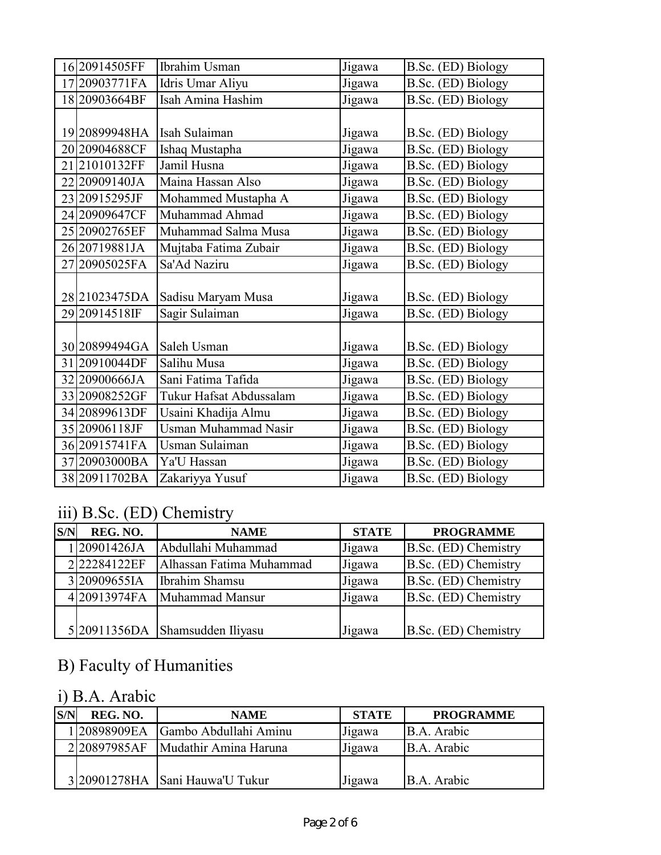| 16 20914505FF  | <b>Ibrahim Usman</b>        | Jigawa | B.Sc. (ED) Biology |
|----------------|-----------------------------|--------|--------------------|
| 17 20903771 FA | Idris Umar Aliyu            | Jigawa | B.Sc. (ED) Biology |
| 18 20903664BF  | Isah Amina Hashim           | Jigawa | B.Sc. (ED) Biology |
|                |                             |        |                    |
| 19 20899948HA  | Isah Sulaiman               | Jigawa | B.Sc. (ED) Biology |
| 2020904688CF   | Ishaq Mustapha              | Jigawa | B.Sc. (ED) Biology |
| 2121010132FF   | Jamil Husna                 | Jigawa | B.Sc. (ED) Biology |
| 22 20909140JA  | Maina Hassan Also           | Jigawa | B.Sc. (ED) Biology |
| 23 20915295JF  | Mohammed Mustapha A         | Jigawa | B.Sc. (ED) Biology |
| 24 20909647CF  | Muhammad Ahmad              | Jigawa | B.Sc. (ED) Biology |
| 2520902765EF   | Muhammad Salma Musa         | Jigawa | B.Sc. (ED) Biology |
| 26 20719881JA  | Mujtaba Fatima Zubair       | Jigawa | B.Sc. (ED) Biology |
| 2720905025FA   | Sa'Ad Naziru                | Jigawa | B.Sc. (ED) Biology |
|                |                             |        |                    |
| 2821023475DA   | Sadisu Maryam Musa          | Jigawa | B.Sc. (ED) Biology |
| 29 20914518IF  | Sagir Sulaiman              | Jigawa | B.Sc. (ED) Biology |
|                |                             |        |                    |
| 30 20899494GA  | Saleh Usman                 | Jigawa | B.Sc. (ED) Biology |
| 31 20910044DF  | Salihu Musa                 | Jigawa | B.Sc. (ED) Biology |
| 3220900666JA   | Sani Fatima Tafida          | Jigawa | B.Sc. (ED) Biology |
| 33 20908252GF  | Tukur Hafsat Abdussalam     | Jigawa | B.Sc. (ED) Biology |
| 34 20899613DF  | Usaini Khadija Almu         | Jigawa | B.Sc. (ED) Biology |
| 35 20906118JF  | <b>Usman Muhammad Nasir</b> | Jigawa | B.Sc. (ED) Biology |
| 36 20915741 FA | Usman Sulaiman              | Jigawa | B.Sc. (ED) Biology |
| 3720903000BA   | Ya'U Hassan                 | Jigawa | B.Sc. (ED) Biology |
| 38 20911702BA  | Zakariyya Yusuf             | Jigawa | B.Sc. (ED) Biology |

# iii) B.Sc. (ED) Chemistry

| S/N | REG. NO.    | <b>NAME</b>                     | <b>STATE</b> | <b>PROGRAMME</b>     |
|-----|-------------|---------------------------------|--------------|----------------------|
|     | 120901426JA | Abdullahi Muhammad              | Jigawa       | B.Sc. (ED) Chemistry |
|     | 222284122EF | Alhassan Fatima Muhammad        | Jigawa       | B.Sc. (ED) Chemistry |
|     | 320909655IA | Ibrahim Shamsu                  | Jigawa       | B.Sc. (ED) Chemistry |
|     |             | 4 20913974 FA Muhammad Mansur   | Jigawa       | B.Sc. (ED) Chemistry |
|     |             |                                 |              |                      |
|     |             | 5 20911356DA Shamsudden Iliyasu | Jigawa       | B.Sc. (ED) Chemistry |

# B) Faculty of Humanities

## i) B.A. Arabic

| S/N | REG. NO.    | <b>NAME</b>                     | <b>STATE</b> | <b>PROGRAMME</b> |
|-----|-------------|---------------------------------|--------------|------------------|
|     | 120898909EA | Gambo Abdullahi Aminu           | Jigawa       | B.A. Arabic      |
|     | 220897985AF | Mudathir Amina Haruna           | Jigawa       | B.A. Arabic      |
|     |             |                                 |              |                  |
|     |             | 3 20901278HA Sani Hauwa'U Tukur | Jigawa       | B.A. Arabic      |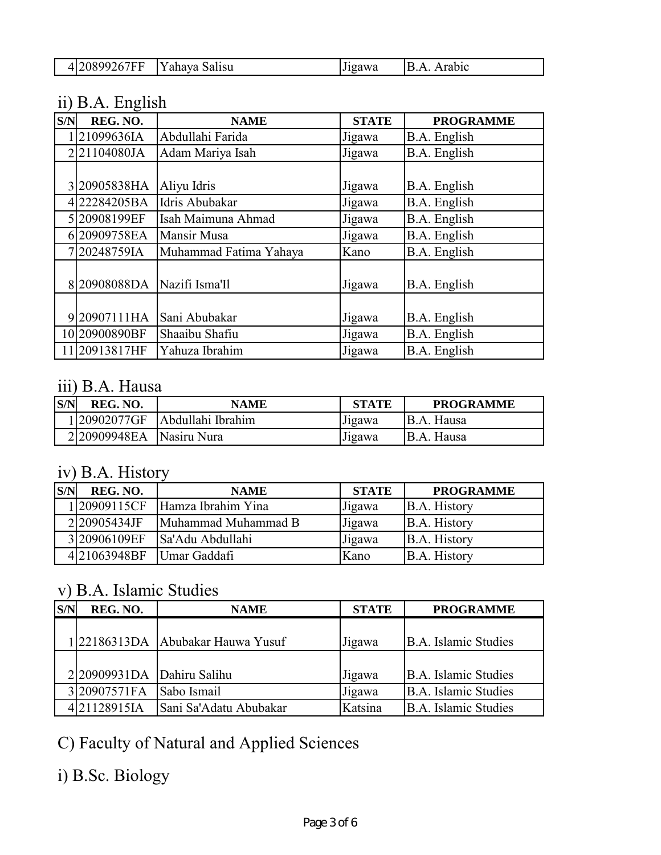| .<br><b>.</b> | $ -$<br>N<br>a la cu<br>$\mathbf{a}$<br>n h<br>l V d<br>ана<br>. . | $\sim$<br>T<br>า พ. | $\sqrt{ }$<br>.uiv<br>. . |
|---------------|--------------------------------------------------------------------|---------------------|---------------------------|

## ii) B.A. English

| S/N | REG. NO.      | <b>NAME</b>            | <b>STATE</b> | <b>PROGRAMME</b> |
|-----|---------------|------------------------|--------------|------------------|
|     | 21099636IA    | Abdullahi Farida       | Jigawa       | B.A. English     |
|     | 221104080JA   | Adam Mariya Isah       | Jigawa       | B.A. English     |
|     |               |                        |              |                  |
|     | 320905838HA   | Aliyu Idris            | Jigawa       | B.A. English     |
|     | 22284205BA    | Idris Abubakar         | Jigawa       | B.A. English     |
|     | 520908199EF   | Isah Maimuna Ahmad     | Jigawa       | B.A. English     |
|     | 620909758EA   | Mansir Musa            | Jigawa       | B.A. English     |
|     | 20248759IA    | Muhammad Fatima Yahaya | Kano         | B.A. English     |
|     | 820908088DA   | Nazifi Isma'll         | Jigawa       | B.A. English     |
|     |               |                        |              |                  |
| 9   | 20907111HA    | Sani Abubakar          | Jigawa       | B.A. English     |
|     | 10 20900890BF | Shaaibu Shafiu         | Jigawa       | B.A. English     |
|     | 11 20913817HF | Yahuza Ibrahim         | Jigawa       | B.A. English     |

### iii) B.A. Hausa

| S/N | REG. NO.                 | NAME              | <b>STATE</b> | <b>PROGRAMME</b> |
|-----|--------------------------|-------------------|--------------|------------------|
|     | 120902077GF              | Abdullahi Ibrahim | Jigawa       | B.A. Hausa       |
|     | 2 20909948EA Nasiru Nura |                   | Jigawa       | B.A. Hausa       |

### iv) B.A. History

| S/N | REG. NO.     | <b>NAME</b>         | <b>STATE</b> | <b>PROGRAMME</b> |
|-----|--------------|---------------------|--------------|------------------|
|     | 120909115CF  | Hamza Ibrahim Yina  | Jigawa       | B.A. History     |
|     | 220905434JF  | Muhammad Muhammad B | Jigawa       | B.A. History     |
|     | 3 20906109EF | Sa'Adu Abdullahi    | Jigawa       | B.A. History     |
|     | 421063948BF  | Umar Gaddafi        | Kano         | B.A. History     |

## v) B.A. Islamic Studies

| S/N | REG. NO.                      | <b>NAME</b>                      | <b>STATE</b> | <b>PROGRAMME</b>     |
|-----|-------------------------------|----------------------------------|--------------|----------------------|
|     |                               |                                  |              |                      |
|     |                               | 122186313DA Abubakar Hauwa Yusuf | Jigawa       | B.A. Islamic Studies |
|     |                               |                                  |              |                      |
|     | $2 20909931DA $ Dahiru Salihu |                                  | Jigawa       | B.A. Islamic Studies |
|     | 3 20907571FA                  | Sabo Ismail                      | Jigawa       | B.A. Islamic Studies |
|     | 421128915IA                   | Sani Sa'Adatu Abubakar           | Katsina      | B.A. Islamic Studies |

C) Faculty of Natural and Applied Sciences

i) B.Sc. Biology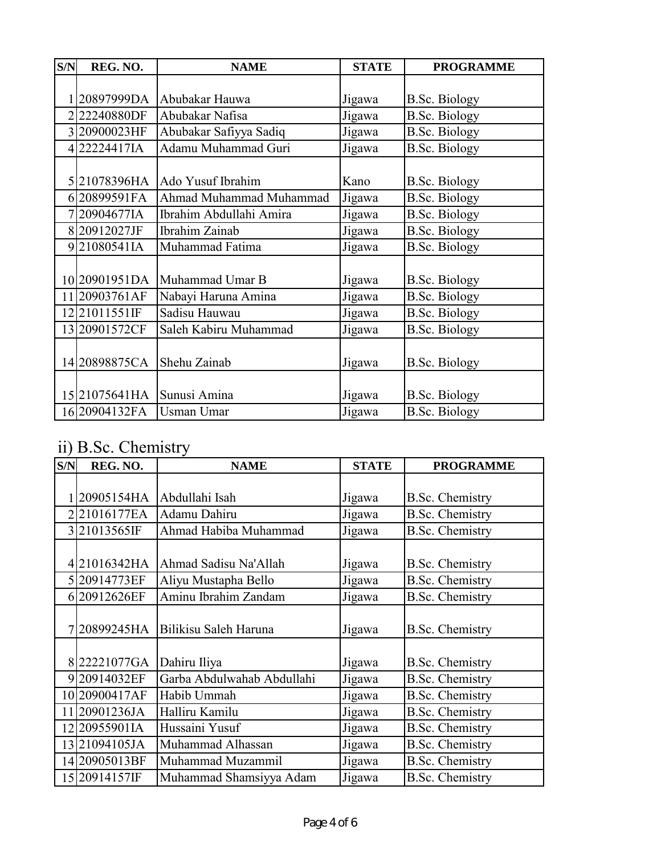| S/N | REG. NO.       | <b>NAME</b>             | <b>STATE</b> | <b>PROGRAMME</b>     |
|-----|----------------|-------------------------|--------------|----------------------|
|     |                |                         |              |                      |
|     | 20897999DA     | Abubakar Hauwa          | Jigawa       | <b>B.Sc. Biology</b> |
|     | 222240880DF    | Abubakar Nafisa         | Jigawa       | <b>B.Sc. Biology</b> |
|     | 320900023HF    | Abubakar Safiyya Sadiq  | Jigawa       | <b>B.Sc. Biology</b> |
|     | 422224417IA    | Adamu Muhammad Guri     | Jigawa       | <b>B.Sc. Biology</b> |
|     |                |                         |              |                      |
|     | 521078396HA    | Ado Yusuf Ibrahim       | Kano         | <b>B.Sc. Biology</b> |
|     | 620899591FA    | Ahmad Muhammad Muhammad | Jigawa       | <b>B.Sc. Biology</b> |
|     | 720904677IA    | Ibrahim Abdullahi Amira | Jigawa       | <b>B.Sc. Biology</b> |
|     | 820912027JF    | Ibrahim Zainab          | Jigawa       | <b>B.Sc. Biology</b> |
|     | 921080541IA    | Muhammad Fatima         | Jigawa       | <b>B.Sc. Biology</b> |
|     |                |                         |              |                      |
|     | 1020901951DA   | Muhammad Umar B         | Jigawa       | <b>B.Sc. Biology</b> |
|     | 11 20903761AF  | Nabayi Haruna Amina     | Jigawa       | <b>B.Sc. Biology</b> |
|     | 12 21011551IF  | Sadisu Hauwau           | Jigawa       | <b>B.Sc. Biology</b> |
|     | 1320901572CF   | Saleh Kabiru Muhammad   | Jigawa       | <b>B.Sc. Biology</b> |
|     |                |                         |              |                      |
|     | 1420898875CA   | Shehu Zainab            | Jigawa       | <b>B.Sc. Biology</b> |
|     |                |                         |              |                      |
|     | 15 21075641 HA | Sunusi Amina            | Jigawa       | <b>B.Sc. Biology</b> |
|     | 16 20904132FA  | <b>Usman Umar</b>       | Jigawa       | <b>B.Sc. Biology</b> |

# ii) B.Sc. Chemistry

| S/N | REG. NO.      | <b>NAME</b>                | <b>STATE</b> | <b>PROGRAMME</b>       |
|-----|---------------|----------------------------|--------------|------------------------|
|     |               |                            |              |                        |
|     | 20905154HA    | Abdullahi Isah             | Jigawa       | <b>B.Sc. Chemistry</b> |
|     | 221016177EA   | Adamu Dahiru               | Jigawa       | <b>B.Sc. Chemistry</b> |
|     | 321013565IF   | Ahmad Habiba Muhammad      | Jigawa       | <b>B.Sc. Chemistry</b> |
|     |               |                            |              |                        |
|     | 421016342HA   | Ahmad Sadisu Na'Allah      | Jigawa       | <b>B.Sc. Chemistry</b> |
|     | 520914773EF   | Aliyu Mustapha Bello       | Jigawa       | <b>B.Sc. Chemistry</b> |
|     | 620912626EF   | Aminu Ibrahim Zandam       | Jigawa       | <b>B.Sc. Chemistry</b> |
|     |               |                            |              |                        |
|     | 20899245HA    | Bilikisu Saleh Haruna      | Jigawa       | <b>B.Sc. Chemistry</b> |
|     |               |                            |              |                        |
|     | 822221077GA   | Dahiru Iliya               | Jigawa       | <b>B.Sc. Chemistry</b> |
|     | 920914032EF   | Garba Abdulwahab Abdullahi | Jigawa       | <b>B.Sc. Chemistry</b> |
|     | 10 20900417AF | Habib Ummah                | Jigawa       | <b>B.Sc. Chemistry</b> |
|     | 11 20901236JA | Halliru Kamilu             | Jigawa       | <b>B.Sc. Chemistry</b> |
|     | 12 20955901IA | Hussaini Yusuf             | Jigawa       | <b>B.Sc. Chemistry</b> |
|     | 1321094105JA  | Muhammad Alhassan          | Jigawa       | <b>B.Sc. Chemistry</b> |
|     | 1420905013BF  | Muhammad Muzammil          | Jigawa       | <b>B.Sc. Chemistry</b> |
|     | 15 20914157IF | Muhammad Shamsiyya Adam    | Jigawa       | <b>B.Sc. Chemistry</b> |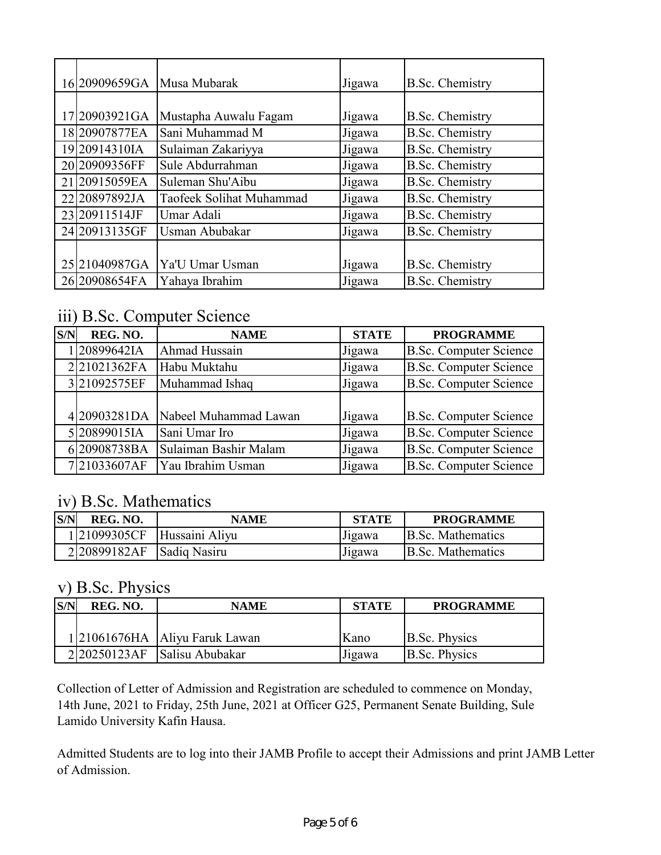| 1620909659GA   | Musa Mubarak                    | Jigawa | <b>B.Sc. Chemistry</b> |
|----------------|---------------------------------|--------|------------------------|
|                |                                 |        |                        |
| 17 20903921 GA | Mustapha Auwalu Fagam           | Jigawa | <b>B.Sc. Chemistry</b> |
| 1820907877EA   | Sani Muhammad M                 | Jigawa | <b>B.Sc. Chemistry</b> |
| 1920914310IA   | Sulaiman Zakariyya              | Jigawa | <b>B.Sc. Chemistry</b> |
| 20 20909356FF  | Sule Abdurrahman                | Jigawa | <b>B.Sc. Chemistry</b> |
| 21 20915059EA  | Suleman Shu'Aibu                | Jigawa | <b>B.Sc. Chemistry</b> |
| 2220897892JA   | <b>Taofeek Solihat Muhammad</b> | Jigawa | <b>B.Sc. Chemistry</b> |
| 23 20911514JF  | Umar Adali                      | Jigawa | <b>B.Sc. Chemistry</b> |
| 24 20913135GF  | Usman Abubakar                  | Jigawa | <b>B.Sc. Chemistry</b> |
|                |                                 |        |                        |
| 25 21040987GA  | Ya'U Umar Usman                 | Jigawa | <b>B.Sc. Chemistry</b> |
| 26 20908654FA  | Yahaya Ibrahim                  | Jigawa | <b>B.Sc. Chemistry</b> |

### iii) B.Sc. Computer Science

| S/N | REG. NO.    | <b>NAME</b>           | <b>STATE</b> | <b>PROGRAMME</b>              |
|-----|-------------|-----------------------|--------------|-------------------------------|
|     | 120899642IA | Ahmad Hussain         | Jigawa       | B.Sc. Computer Science        |
|     | 221021362FA | Habu Muktahu          | Jigawa       | <b>B.Sc. Computer Science</b> |
|     | 321092575EF | Muhammad Ishaq        | Jigawa       | <b>B.Sc. Computer Science</b> |
|     |             |                       |              |                               |
|     | 420903281DA | Nabeel Muhammad Lawan | Jigawa       | <b>B.Sc. Computer Science</b> |
|     | 520899015IA | Sani Umar Iro         | Jigawa       | <b>B.Sc. Computer Science</b> |
|     | 620908738BA | Sulaiman Bashir Malam | Jigawa       | B.Sc. Computer Science        |
|     | 721033607AF | Yau Ibrahim Usman     | Jigawa       | <b>B.Sc. Computer Science</b> |

#### iv) B.Sc. Mathematics

| S/N | REG. NO.                    | NAME           | <b>STATE</b> | <b>PROGRAMME</b>  |
|-----|-----------------------------|----------------|--------------|-------------------|
|     | 121099305CF                 | Hussaini Aliyu | Jigawa       | B.Sc. Mathematics |
|     | $2 20899182AF$ Sadiq Nasiru |                | Jigawa       | B.Sc. Mathematics |

#### v) B.Sc. Physics

| S/N | REG. NO. | <b>NAME</b>                    | <b>STATE</b> | <b>PROGRAMME</b>     |
|-----|----------|--------------------------------|--------------|----------------------|
|     |          |                                |              |                      |
|     |          | 1 21061676HA Aliyu Faruk Lawan | Kano         | <b>B.Sc. Physics</b> |
|     |          | 220250123AF Salisu Abubakar    | Jigawa       | <b>B.Sc. Physics</b> |

Collection of Letter of Admission and Registration are scheduled to commence on Monday, 14th June, 2021 to Friday, 25th June, 2021 at Officer G25, Permanent Senate Building, Sule Lamido University Kafin Hausa.

Admitted Students are to log into their JAMB Profile to accept their Admissions and print JAMB Letter of Admission.